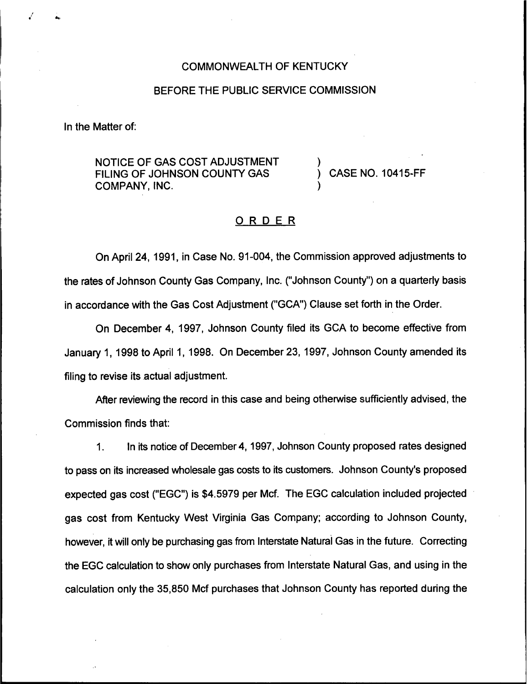### COMMONWEALTH OF KENTUCKY

#### BEFORE THE PUBLIC SERVICE COMMISSION

In the Matter of:

NOTICE OF GAS COST ADJUSTMENT FILING OF JOHNSON COUNTY GAS COMPANY, INC.

) CASE NO. 10415-FF

)

)

## ORDER

On April 24, 1991, in Case No. 91-004, the Commission approved adjustments to the rates of Johnson County Gas Company, Inc. ("Johnson County") on a quarterly basis in accordance with the Gas Cost Adjustment ("GCA") Clause set forth in the Order.

On December 4, 1997, Johnson County filed its GCA to become effective from January 1, 1998 to April 1, 1998. On December 23, 1997, Johnson County amended its filing to revise its actual adjustment.

After reviewing the record in this case and being otherwise sufficiently advised, the Commission finds that:

1. In its notice of December 4, 1997,Johnson County proposed rates designed to pass on its increased wholesale gas costs to its customers. Johnson County's proposed expected gas cost ("EGC") is \$4.5979 per Mcf. The EGC calculation included projected gas cost from Kentucky West Virginia Gas Company; according to Johnson County, however, it will only be purchasing gas from Interstate Natural Gas in the future. Correcting the EGC calculation to show only purchases from Interstate Natural Gas, and using in the calculation only the 35,850 Mcf purchases that Johnson County has reported during the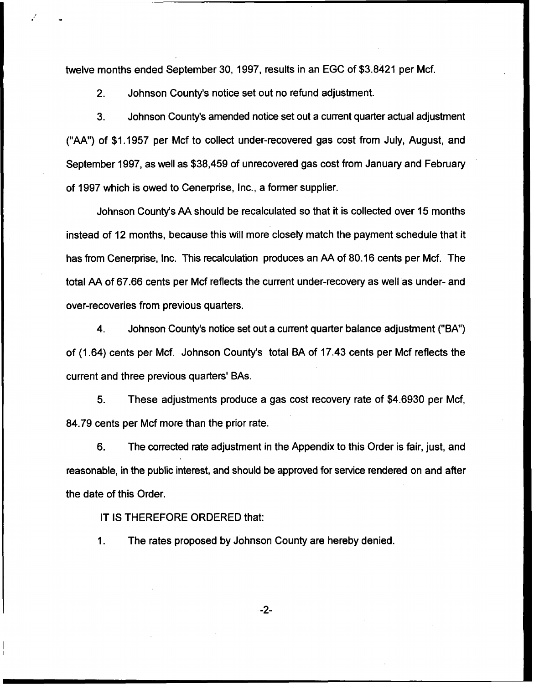twelve months ended September 30, 1997, results in an EGC of \$3.8421 per Mcf.

2. Johnson County's notice set out no refund adjustment.

3. Johnson County's amended notice set out a current quarter actual adjustment ("AA") of \$1.1957 per Mcf to collect under-recovered gas cost from July, August, and September 1997, as well as \$38,459 of unrecovered gas cost from January and February of 1997 which is owed to Cenerprise, Inc., a former supplier.

Johnson County's AA should be recalculated so that it is collected over 15 months instead of 12 months, because this will more closely match the payment schedule that it has from Cenerprise, Inc. This recalculation produces an AA of 80.16 cents per Mcf. The total AA of 67.66 cents per Mcf reflects the current under-recovery as well as under- and over-recoveries from previous quarters.

4. Johnson County's notice set out a current quarter balance adjustment ("BA") of (1.64) cents per Mcf. Johnson County's total BA of 17.43 cents per Mcf reflects the current and three previous quarters' BAs.

5. These adjustments produce a gas cost recovery rate of \$4.6930 per Mcf, 84.79 cents per Mcf more than the prior rate.

6. The corrected rate adjustment in the Appendix to this Order is fair, just, and reasonable, in the public interest, and should be approved for service rendered on and after the date of this Order.

IT IS THEREFORE ORDERED that:

The rates proposed by Johnson County are hereby denied. $\mathbf{1}$ .

 $-2-$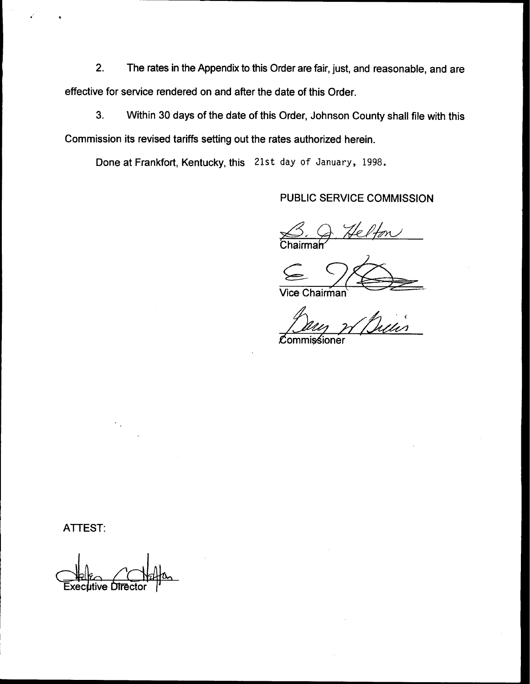2. The rates in the Appendix to this Order are fair, just, and reasonable, and are effective for service rendered on and after the date of this Order.

3. Within 30 days of the date of this Order, Johnson County shall file with this Commission its revised tariffs setting out the rates authorized herein.

Done at Frankfort, Kentucky, this 21st day of January, 1998.

PUBLIC SERVICE COMMISSION

J Helfon Chairma

Vice Chairman

 $\overline{\phantom{a}}$ 

*C*ommis⁄sioner

ATTEST:

 $the$   $r$ utive Direct